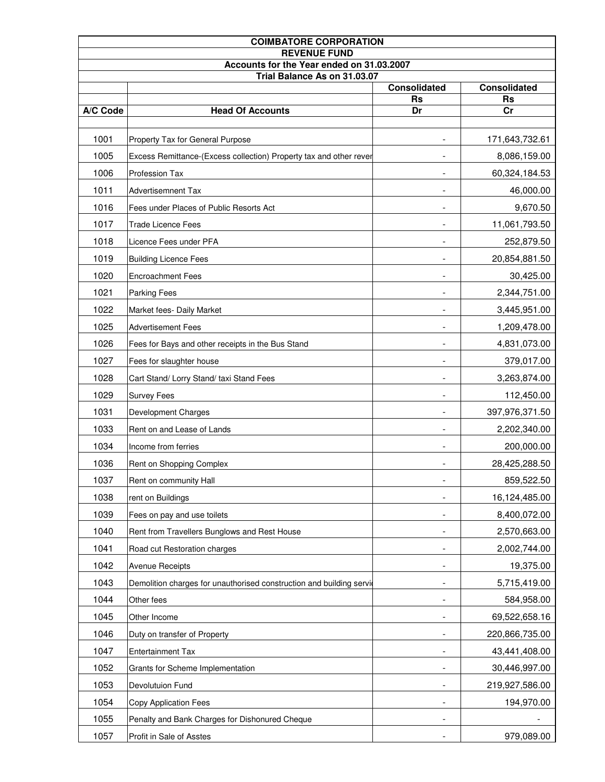| <b>COIMBATORE CORPORATION</b>                                    |                                                                      |                          |                 |  |
|------------------------------------------------------------------|----------------------------------------------------------------------|--------------------------|-----------------|--|
| <b>REVENUE FUND</b><br>Accounts for the Year ended on 31.03.2007 |                                                                      |                          |                 |  |
| Trial Balance As on 31.03.07                                     |                                                                      |                          |                 |  |
|                                                                  |                                                                      | <b>Consolidated</b>      | Consolidated    |  |
| A/C Code                                                         | <b>Head Of Accounts</b>                                              | <b>Rs</b><br>Dr          | <b>Rs</b><br>Cr |  |
|                                                                  |                                                                      |                          |                 |  |
| 1001                                                             | Property Tax for General Purpose                                     |                          | 171,643,732.61  |  |
| 1005                                                             | Excess Remittance-(Excess collection) Property tax and other rever   |                          | 8,086,159.00    |  |
| 1006                                                             | Profession Tax                                                       |                          | 60,324,184.53   |  |
| 1011                                                             | <b>Advertisemnent Tax</b>                                            |                          | 46,000.00       |  |
| 1016                                                             | Fees under Places of Public Resorts Act                              |                          | 9,670.50        |  |
| 1017                                                             | <b>Trade Licence Fees</b>                                            |                          | 11,061,793.50   |  |
| 1018                                                             | Licence Fees under PFA                                               |                          | 252,879.50      |  |
| 1019                                                             | <b>Building Licence Fees</b>                                         |                          | 20,854,881.50   |  |
| 1020                                                             | <b>Encroachment Fees</b>                                             |                          | 30,425.00       |  |
| 1021                                                             | <b>Parking Fees</b>                                                  |                          | 2,344,751.00    |  |
| 1022                                                             | Market fees- Daily Market                                            |                          | 3,445,951.00    |  |
| 1025                                                             | <b>Advertisement Fees</b>                                            |                          | 1,209,478.00    |  |
| 1026                                                             | Fees for Bays and other receipts in the Bus Stand                    |                          | 4,831,073.00    |  |
| 1027                                                             | Fees for slaughter house                                             |                          | 379,017.00      |  |
| 1028                                                             | Cart Stand/ Lorry Stand/ taxi Stand Fees                             |                          | 3,263,874.00    |  |
| 1029                                                             | <b>Survey Fees</b>                                                   | $\overline{\phantom{a}}$ | 112,450.00      |  |
| 1031                                                             | Development Charges                                                  |                          | 397,976,371.50  |  |
| 1033                                                             | Rent on and Lease of Lands                                           |                          | 2,202,340.00    |  |
| 1034                                                             | Income from ferries                                                  |                          | 200,000.00      |  |
| 1036                                                             | Rent on Shopping Complex                                             |                          | 28,425,288.50   |  |
| 1037                                                             | Rent on community Hall                                               |                          | 859,522.50      |  |
| 1038                                                             | rent on Buildings                                                    |                          | 16,124,485.00   |  |
| 1039                                                             | Fees on pay and use toilets                                          |                          | 8,400,072.00    |  |
| 1040                                                             | Rent from Travellers Bunglows and Rest House                         |                          | 2,570,663.00    |  |
| 1041                                                             | Road cut Restoration charges                                         |                          | 2,002,744.00    |  |
| 1042                                                             | <b>Avenue Receipts</b>                                               |                          | 19,375.00       |  |
| 1043                                                             | Demolition charges for unauthorised construction and building servic |                          | 5,715,419.00    |  |
| 1044                                                             | Other fees                                                           |                          | 584,958.00      |  |
| 1045                                                             | Other Income                                                         |                          | 69,522,658.16   |  |
| 1046                                                             | Duty on transfer of Property                                         |                          | 220,866,735.00  |  |
| 1047                                                             | <b>Entertainment Tax</b>                                             |                          | 43,441,408.00   |  |
| 1052                                                             | Grants for Scheme Implementation                                     |                          | 30,446,997.00   |  |
| 1053                                                             | Devolutuion Fund                                                     |                          | 219,927,586.00  |  |
| 1054                                                             | Copy Application Fees                                                |                          | 194,970.00      |  |
| 1055                                                             | Penalty and Bank Charges for Dishonured Cheque                       |                          |                 |  |
| 1057                                                             | Profit in Sale of Asstes                                             |                          | 979,089.00      |  |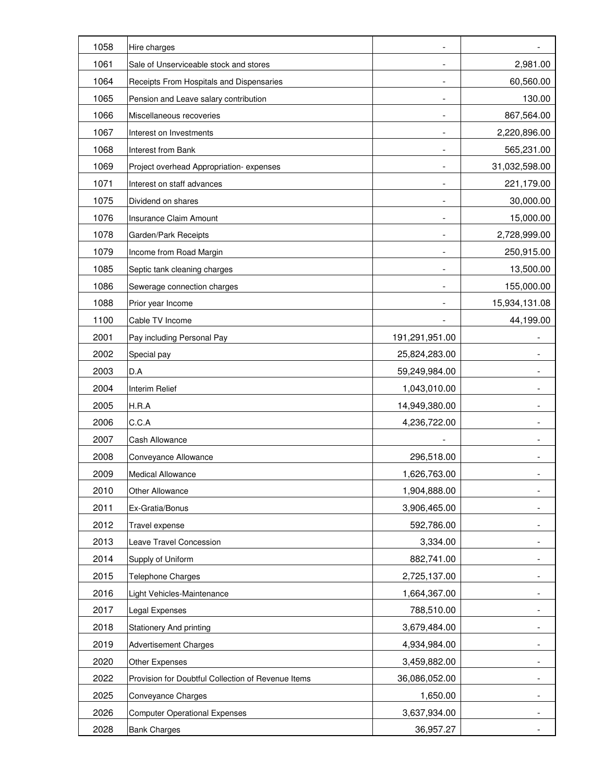| 1058 | Hire charges                                       |                          |                          |
|------|----------------------------------------------------|--------------------------|--------------------------|
| 1061 | Sale of Unserviceable stock and stores             |                          | 2,981.00                 |
| 1064 | Receipts From Hospitals and Dispensaries           | $\overline{\phantom{a}}$ | 60,560.00                |
| 1065 | Pension and Leave salary contribution              |                          | 130.00                   |
| 1066 | Miscellaneous recoveries                           |                          | 867,564.00               |
| 1067 | Interest on Investments                            |                          | 2,220,896.00             |
| 1068 | <b>Interest from Bank</b>                          |                          | 565,231.00               |
| 1069 | Project overhead Appropriation-expenses            |                          | 31,032,598.00            |
| 1071 | Interest on staff advances                         |                          | 221,179.00               |
| 1075 | Dividend on shares                                 |                          | 30,000.00                |
| 1076 | Insurance Claim Amount                             | $\overline{\phantom{a}}$ | 15,000.00                |
| 1078 | Garden/Park Receipts                               | $\overline{\phantom{a}}$ | 2,728,999.00             |
| 1079 | Income from Road Margin                            |                          | 250,915.00               |
| 1085 | Septic tank cleaning charges                       |                          | 13,500.00                |
| 1086 | Sewerage connection charges                        |                          | 155,000.00               |
| 1088 | Prior year Income                                  |                          | 15,934,131.08            |
| 1100 | Cable TV Income                                    |                          | 44,199.00                |
| 2001 | Pay including Personal Pay                         | 191,291,951.00           |                          |
| 2002 | Special pay                                        | 25,824,283.00            |                          |
| 2003 | D.A                                                | 59,249,984.00            | $\overline{\phantom{a}}$ |
| 2004 | Interim Relief                                     | 1,043,010.00             |                          |
| 2005 | H.R.A                                              | 14,949,380.00            |                          |
| 2006 | C.C.A                                              | 4,236,722.00             |                          |
| 2007 | Cash Allowance                                     |                          |                          |
| 2008 | Conveyance Allowance                               | 296,518.00               |                          |
| 2009 | <b>Medical Allowance</b>                           | 1,626,763.00             |                          |
| 2010 | Other Allowance                                    | 1,904,888.00             |                          |
| 2011 | Ex-Gratia/Bonus                                    | 3,906,465.00             |                          |
| 2012 | Travel expense                                     | 592,786.00               |                          |
| 2013 | Leave Travel Concession                            | 3,334.00                 |                          |
| 2014 | Supply of Uniform                                  | 882,741.00               |                          |
| 2015 | Telephone Charges                                  | 2,725,137.00             |                          |
| 2016 | Light Vehicles-Maintenance                         | 1,664,367.00             |                          |
| 2017 | Legal Expenses                                     | 788,510.00               |                          |
| 2018 | <b>Stationery And printing</b>                     | 3,679,484.00             |                          |
| 2019 | <b>Advertisement Charges</b>                       | 4,934,984.00             |                          |
| 2020 | Other Expenses                                     | 3,459,882.00             |                          |
| 2022 | Provision for Doubtful Collection of Revenue Items | 36,086,052.00            |                          |
| 2025 | Conveyance Charges                                 | 1,650.00                 |                          |
| 2026 | <b>Computer Operational Expenses</b>               | 3,637,934.00             |                          |
| 2028 | <b>Bank Charges</b>                                | 36,957.27                |                          |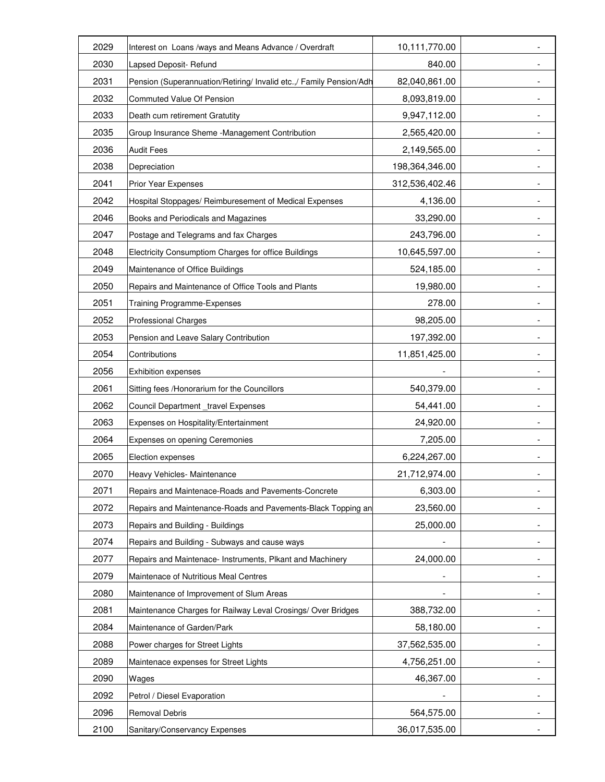| 2029 | Interest on Loans /ways and Means Advance / Overdraft               | 10,111,770.00  |   |
|------|---------------------------------------------------------------------|----------------|---|
| 2030 | Lapsed Deposit- Refund                                              | 840.00         |   |
| 2031 | Pension (Superannuation/Retiring/ Invalid etc.,/ Family Pension/Adh | 82,040,861.00  |   |
| 2032 | Commuted Value Of Pension                                           | 8,093,819.00   |   |
| 2033 | Death cum retirement Gratutity                                      | 9,947,112.00   |   |
| 2035 | Group Insurance Sheme -Management Contribution                      | 2,565,420.00   |   |
| 2036 | <b>Audit Fees</b>                                                   | 2,149,565.00   |   |
| 2038 | Depreciation                                                        | 198,364,346.00 |   |
| 2041 | Prior Year Expenses                                                 | 312,536,402.46 |   |
| 2042 | Hospital Stoppages/ Reimburesement of Medical Expenses              | 4,136.00       |   |
| 2046 | Books and Periodicals and Magazines                                 | 33,290.00      |   |
| 2047 | Postage and Telegrams and fax Charges                               | 243,796.00     | - |
| 2048 | Electricity Consumptiom Charges for office Buildings                | 10,645,597.00  |   |
| 2049 | Maintenance of Office Buildings                                     | 524,185.00     |   |
| 2050 | Repairs and Maintenance of Office Tools and Plants                  | 19,980.00      |   |
| 2051 | Training Programme-Expenses                                         | 278.00         |   |
| 2052 | <b>Professional Charges</b>                                         | 98,205.00      |   |
| 2053 | Pension and Leave Salary Contribution                               | 197,392.00     |   |
| 2054 | Contributions                                                       | 11,851,425.00  |   |
| 2056 | <b>Exhibition expenses</b>                                          |                |   |
| 2061 | Sitting fees /Honorarium for the Councillors                        | 540,379.00     | - |
| 2062 | Council Department_travel Expenses                                  | 54,441.00      |   |
| 2063 | Expenses on Hospitality/Entertainment                               | 24,920.00      |   |
| 2064 | Expenses on opening Ceremonies                                      | 7,205.00       |   |
| 2065 | Election expenses                                                   | 6,224,267.00   |   |
| 2070 | Heavy Vehicles- Maintenance                                         | 21,712,974.00  |   |
| 2071 | Repairs and Maintenace-Roads and Pavements-Concrete                 | 6,303.00       |   |
| 2072 | Repairs and Maintenance-Roads and Pavements-Black Topping an        | 23,560.00      |   |
| 2073 | Repairs and Building - Buildings                                    | 25,000.00      |   |
| 2074 | Repairs and Building - Subways and cause ways                       |                |   |
| 2077 | Repairs and Maintenace- Instruments, Plkant and Machinery           | 24,000.00      |   |
| 2079 | Maintenace of Nutritious Meal Centres                               |                |   |
| 2080 | Maintenance of Improvement of Slum Areas                            |                |   |
| 2081 | Maintenance Charges for Railway Leval Crosings/ Over Bridges        | 388,732.00     |   |
| 2084 | Maintenance of Garden/Park                                          | 58,180.00      |   |
| 2088 | Power charges for Street Lights                                     | 37,562,535.00  |   |
| 2089 | Maintenace expenses for Street Lights                               | 4,756,251.00   |   |
| 2090 | Wages                                                               | 46,367.00      |   |
| 2092 | Petrol / Diesel Evaporation                                         |                |   |
| 2096 | Removal Debris                                                      | 564,575.00     |   |
| 2100 | Sanitary/Conservancy Expenses                                       | 36,017,535.00  |   |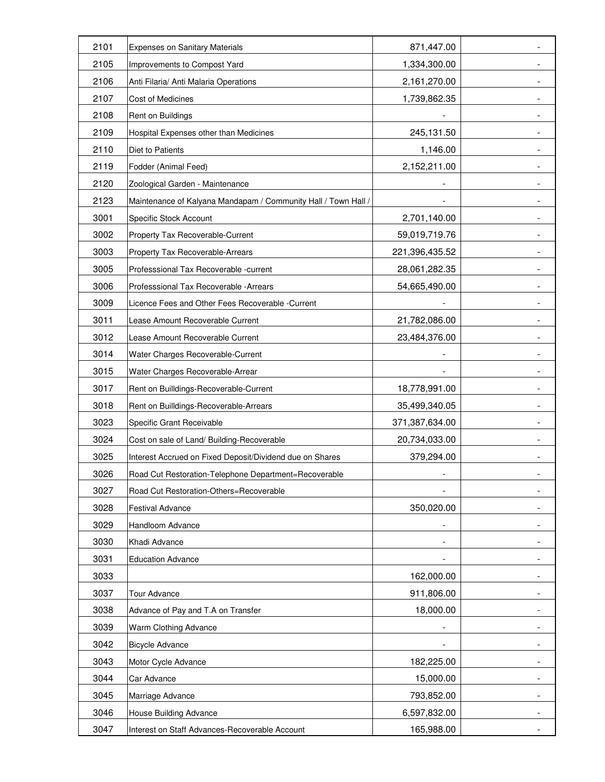| 2101 | <b>Expenses on Sanitary Materials</b>                          | 871,447.00     |                          |
|------|----------------------------------------------------------------|----------------|--------------------------|
| 2105 | Improvements to Compost Yard                                   | 1,334,300.00   |                          |
| 2106 | Anti Filaria/ Anti Malaria Operations                          | 2,161,270.00   |                          |
| 2107 | Cost of Medicines                                              | 1,739,862.35   |                          |
| 2108 | Rent on Buildings                                              |                |                          |
| 2109 | Hospital Expenses other than Medicines                         | 245,131.50     |                          |
| 2110 | Diet to Patients                                               | 1,146.00       |                          |
| 2119 | Fodder (Animal Feed)                                           | 2,152,211.00   |                          |
| 2120 | Zoological Garden - Maintenance                                |                |                          |
| 2123 | Maintenance of Kalyana Mandapam / Community Hall / Town Hall / |                |                          |
| 3001 | Specific Stock Account                                         | 2,701,140.00   |                          |
| 3002 | Property Tax Recoverable-Current                               | 59,019,719.76  |                          |
| 3003 | Property Tax Recoverable-Arrears                               | 221,396,435.52 |                          |
| 3005 | Professsional Tax Recoverable -current                         | 28,061,282.35  |                          |
| 3006 | Professsional Tax Recoverable - Arrears                        | 54,665,490.00  |                          |
| 3009 | Licence Fees and Other Fees Recoverable -Current               |                |                          |
| 3011 | Lease Amount Recoverable Current                               | 21,782,086.00  |                          |
| 3012 | Lease Amount Recoverable Current                               | 23,484,376.00  |                          |
| 3014 | Water Charges Recoverable-Current                              |                |                          |
| 3015 | Water Charges Recoverable-Arrear                               |                | $\overline{\phantom{a}}$ |
| 3017 | Rent on Builldings-Recoverable-Current                         | 18,778,991.00  |                          |
| 3018 | Rent on Builldings-Recoverable-Arrears                         | 35,499,340.05  |                          |
| 3023 | Specific Grant Receivable                                      | 371,387,634.00 |                          |
| 3024 | Cost on sale of Land/ Building-Recoverable                     | 20,734,033.00  |                          |
| 3025 | Interest Accrued on Fixed Deposit/Dividend due on Shares       | 379,294.00     |                          |
| 3026 | Road Cut Restoration-Telephone Department=Recoverable          |                |                          |
| 3027 | Road Cut Restoration-Others=Recoverable                        |                |                          |
| 3028 | <b>Festival Advance</b>                                        | 350,020.00     |                          |
| 3029 | Handloom Advance                                               |                |                          |
| 3030 | Khadi Advance                                                  |                |                          |
| 3031 | <b>Education Advance</b>                                       |                |                          |
| 3033 |                                                                | 162,000.00     |                          |
| 3037 | Tour Advance                                                   | 911,806.00     |                          |
| 3038 | Advance of Pay and T.A on Transfer                             | 18,000.00      |                          |
| 3039 | Warm Clothing Advance                                          |                |                          |
| 3042 | <b>Bicycle Advance</b>                                         |                |                          |
| 3043 | Motor Cycle Advance                                            | 182,225.00     |                          |
| 3044 | Car Advance                                                    | 15,000.00      |                          |
| 3045 | Marriage Advance                                               | 793,852.00     |                          |
| 3046 | House Building Advance                                         | 6,597,832.00   |                          |
| 3047 | Interest on Staff Advances-Recoverable Account                 | 165,988.00     |                          |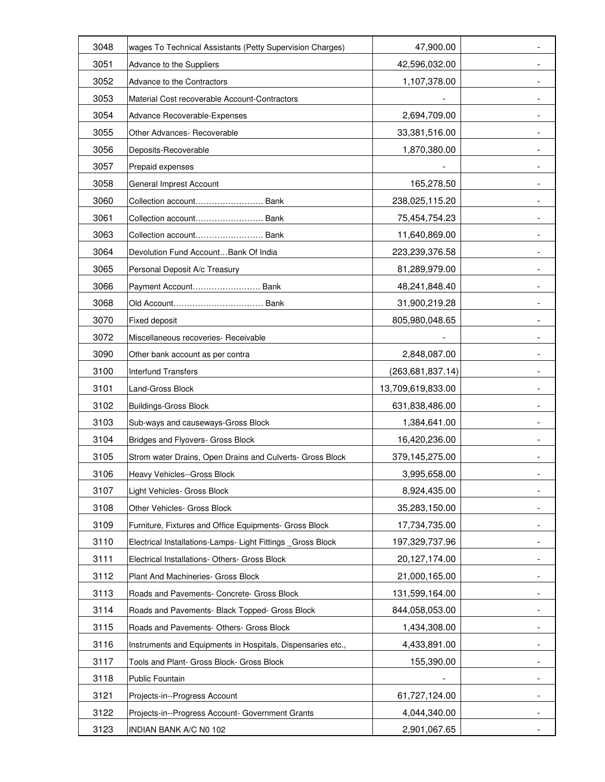| 3048 | wages To Technical Assistants (Petty Supervision Charges)   | 47,900.00          |                          |
|------|-------------------------------------------------------------|--------------------|--------------------------|
| 3051 | Advance to the Suppliers                                    | 42,596,032.00      |                          |
| 3052 | Advance to the Contractors                                  | 1,107,378.00       | -                        |
| 3053 | Material Cost recoverable Account-Contractors               |                    | -                        |
| 3054 | Advance Recoverable-Expenses                                | 2,694,709.00       |                          |
| 3055 | Other Advances- Recoverable                                 | 33,381,516.00      |                          |
| 3056 | Deposits-Recoverable                                        | 1,870,380.00       |                          |
| 3057 | Prepaid expenses                                            |                    |                          |
| 3058 | General Imprest Account                                     | 165,278.50         |                          |
| 3060 | Collection account Bank                                     | 238,025,115.20     |                          |
| 3061 | Collection account Bank                                     | 75,454,754.23      | $\overline{\phantom{0}}$ |
| 3063 | Collection account Bank                                     | 11,640,869.00      | $\overline{\phantom{a}}$ |
| 3064 | Devolution Fund Account Bank Of India                       | 223,239,376.58     |                          |
| 3065 | Personal Deposit A/c Treasury                               | 81,289,979.00      |                          |
| 3066 | Payment Account Bank                                        | 48,241,848.40      | $\overline{\phantom{0}}$ |
| 3068 |                                                             | 31,900,219.28      |                          |
| 3070 | Fixed deposit                                               | 805,980,048.65     |                          |
| 3072 | Miscellaneous recoveries- Receivable                        |                    |                          |
| 3090 | Other bank account as per contra                            | 2,848,087.00       |                          |
| 3100 | <b>Interfund Transfers</b>                                  | (263, 681, 837.14) |                          |
| 3101 | Land-Gross Block                                            | 13,709,619,833.00  | Ξ.                       |
| 3102 | <b>Buildings-Gross Block</b>                                | 631,838,486.00     |                          |
| 3103 | Sub-ways and causeways-Gross Block                          | 1,384,641.00       |                          |
| 3104 | Bridges and Flyovers- Gross Block                           | 16,420,236.00      |                          |
| 3105 | Strom water Drains, Open Drains and Culverts- Gross Block   | 379,145,275.00     |                          |
| 3106 | Heavy Vehicles--Gross Block                                 | 3,995,658.00       |                          |
| 3107 | Light Vehicles- Gross Block                                 | 8,924,435.00       |                          |
| 3108 | Other Vehicles- Gross Block                                 | 35,283,150.00      |                          |
| 3109 | Furniture, Fixtures and Office Equipments- Gross Block      | 17,734,735.00      |                          |
| 3110 | Electrical Installations-Lamps- Light Fittings _Gross Block | 197,329,737.96     |                          |
| 3111 | Electrical Installations- Others- Gross Block               | 20,127,174.00      |                          |
| 3112 | Plant And Machineries- Gross Block                          | 21,000,165.00      |                          |
| 3113 | Roads and Pavements- Concrete- Gross Block                  | 131,599,164.00     |                          |
| 3114 | Roads and Pavements- Black Topped- Gross Block              | 844,058,053.00     |                          |
| 3115 | Roads and Pavements- Others- Gross Block                    | 1,434,308.00       |                          |
| 3116 | Instruments and Equipments in Hospitals, Dispensaries etc., | 4,433,891.00       |                          |
| 3117 | Tools and Plant- Gross Block- Gross Block                   | 155,390.00         |                          |
| 3118 | Public Fountain                                             |                    |                          |
| 3121 | Projects-in--Progress Account                               | 61,727,124.00      |                          |
| 3122 | Projects-in--Progress Account- Government Grants            | 4,044,340.00       |                          |
| 3123 | INDIAN BANK A/C N0 102                                      | 2,901,067.65       |                          |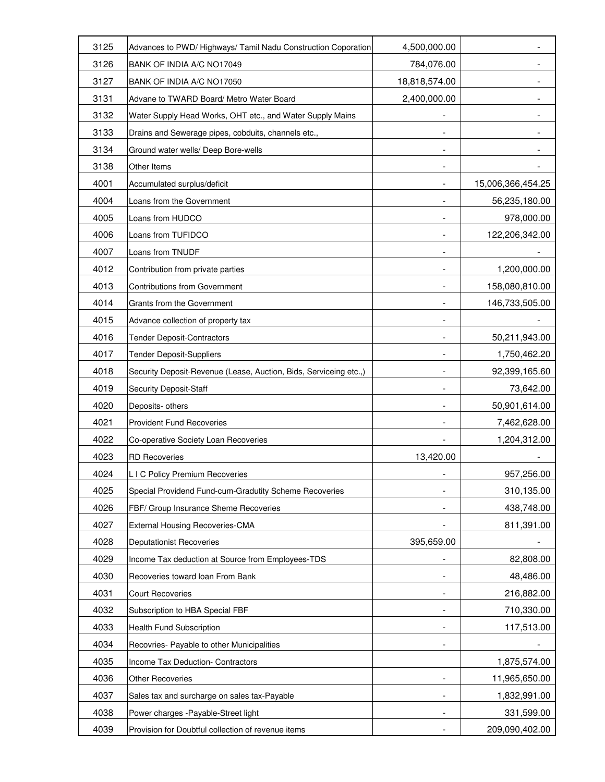| 3125 | Advances to PWD/ Highways/ Tamil Nadu Construction Coporation     | 4,500,000.00             |                   |
|------|-------------------------------------------------------------------|--------------------------|-------------------|
| 3126 | BANK OF INDIA A/C NO17049                                         | 784,076.00               |                   |
| 3127 | BANK OF INDIA A/C NO17050                                         | 18,818,574.00            |                   |
| 3131 | Advane to TWARD Board/ Metro Water Board                          | 2,400,000.00             |                   |
| 3132 | Water Supply Head Works, OHT etc., and Water Supply Mains         |                          |                   |
| 3133 | Drains and Sewerage pipes, cobduits, channels etc.,               |                          |                   |
| 3134 | Ground water wells/ Deep Bore-wells                               |                          |                   |
| 3138 | Other Items                                                       |                          |                   |
| 4001 | Accumulated surplus/deficit                                       |                          | 15,006,366,454.25 |
| 4004 | Loans from the Government                                         |                          | 56,235,180.00     |
| 4005 | Loans from HUDCO                                                  |                          | 978,000.00        |
| 4006 | Loans from TUFIDCO                                                |                          | 122,206,342.00    |
| 4007 | Loans from TNUDF                                                  |                          |                   |
| 4012 | Contribution from private parties                                 |                          | 1,200,000.00      |
| 4013 | <b>Contributions from Government</b>                              |                          | 158,080,810.00    |
| 4014 | Grants from the Government                                        |                          | 146,733,505.00    |
| 4015 | Advance collection of property tax                                |                          |                   |
| 4016 | <b>Tender Deposit-Contractors</b>                                 |                          | 50,211,943.00     |
| 4017 | <b>Tender Deposit-Suppliers</b>                                   |                          | 1,750,462.20      |
| 4018 | Security Deposit-Revenue (Lease, Auction, Bids, Serviceing etc.,) |                          | 92,399,165.60     |
| 4019 | <b>Security Deposit-Staff</b>                                     | $\overline{\phantom{a}}$ | 73,642.00         |
| 4020 | Deposits- others                                                  |                          | 50,901,614.00     |
| 4021 | <b>Provident Fund Recoveries</b>                                  |                          | 7,462,628.00      |
| 4022 | Co-operative Society Loan Recoveries                              | $\overline{\phantom{a}}$ | 1,204,312.00      |
| 4023 | <b>RD</b> Recoveries                                              | 13,420.00                |                   |
| 4024 | L I C Policy Premium Recoveries                                   |                          | 957,256.00        |
| 4025 | Special Providend Fund-cum-Gradutity Scheme Recoveries            |                          | 310,135.00        |
| 4026 | FBF/ Group Insurance Sheme Recoveries                             |                          | 438,748.00        |
| 4027 | External Housing Recoveries-CMA                                   |                          | 811,391.00        |
| 4028 | <b>Deputationist Recoveries</b>                                   | 395,659.00               |                   |
| 4029 | Income Tax deduction at Source from Employees-TDS                 |                          | 82,808.00         |
| 4030 | Recoveries toward loan From Bank                                  |                          | 48,486.00         |
| 4031 | <b>Court Recoveries</b>                                           |                          | 216,882.00        |
| 4032 | Subscription to HBA Special FBF                                   |                          | 710,330.00        |
| 4033 | Health Fund Subscription                                          |                          | 117,513.00        |
| 4034 | Recovries- Payable to other Municipalities                        |                          |                   |
| 4035 | Income Tax Deduction- Contractors                                 |                          | 1,875,574.00      |
| 4036 | <b>Other Recoveries</b>                                           |                          | 11,965,650.00     |
| 4037 | Sales tax and surcharge on sales tax-Payable                      |                          | 1,832,991.00      |
| 4038 | Power charges - Payable-Street light                              |                          | 331,599.00        |
| 4039 | Provision for Doubtful collection of revenue items                |                          | 209,090,402.00    |